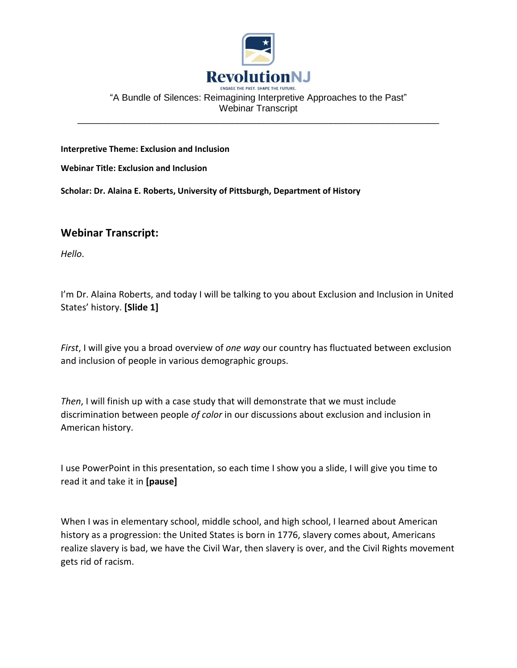

#### "A Bundle of Silences: Reimagining Interpretive Approaches to the Past" Webinar Transcript \_\_\_\_\_\_\_\_\_\_\_\_\_\_\_\_\_\_\_\_\_\_\_\_\_\_\_\_\_\_\_\_\_\_\_\_\_\_\_\_\_\_\_\_\_\_\_\_\_\_\_\_\_\_\_\_\_\_\_\_\_\_\_\_\_\_\_\_\_\_

**Interpretive Theme: Exclusion and Inclusion**

**Webinar Title: Exclusion and Inclusion**

**Scholar: Dr. Alaina E. Roberts, University of Pittsburgh, Department of History**

# **Webinar Transcript:**

*Hello*.

I'm Dr. Alaina Roberts, and today I will be talking to you about Exclusion and Inclusion in United States' history. **[Slide 1]**

*First*, I will give you a broad overview of *one way* our country has fluctuated between exclusion and inclusion of people in various demographic groups.

*Then*, I will finish up with a case study that will demonstrate that we must include discrimination between people *of color* in our discussions about exclusion and inclusion in American history.

I use PowerPoint in this presentation, so each time I show you a slide, I will give you time to read it and take it in **[pause]**

When I was in elementary school, middle school, and high school, I learned about American history as a progression: the United States is born in 1776, slavery comes about, Americans realize slavery is bad, we have the Civil War, then slavery is over, and the Civil Rights movement gets rid of racism.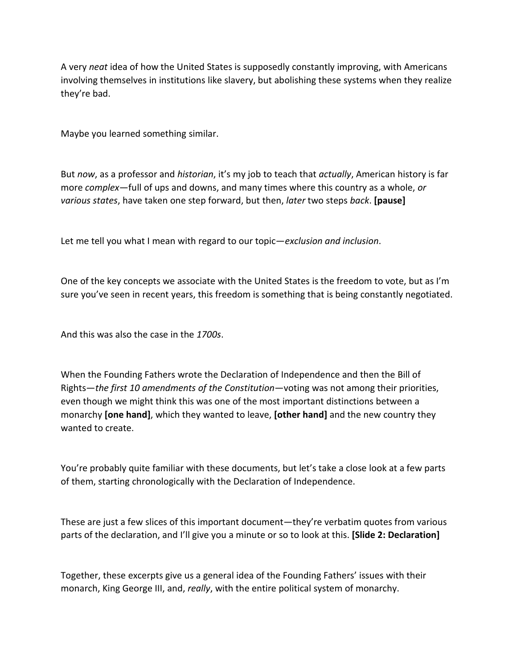A very *neat* idea of how the United States is supposedly constantly improving, with Americans involving themselves in institutions like slavery, but abolishing these systems when they realize they're bad.

Maybe you learned something similar.

But *now*, as a professor and *historian*, it's my job to teach that *actually*, American history is far more *complex*—full of ups and downs, and many times where this country as a whole, *or various states*, have taken one step forward, but then, *later* two steps *back*. **[pause]**

Let me tell you what I mean with regard to our topic—*exclusion and inclusion*.

One of the key concepts we associate with the United States is the freedom to vote, but as I'm sure you've seen in recent years, this freedom is something that is being constantly negotiated.

And this was also the case in the *1700s*.

When the Founding Fathers wrote the Declaration of Independence and then the Bill of Rights—*the first 10 amendments of the Constitution*—voting was not among their priorities, even though we might think this was one of the most important distinctions between a monarchy **[one hand]**, which they wanted to leave, **[other hand]** and the new country they wanted to create.

You're probably quite familiar with these documents, but let's take a close look at a few parts of them, starting chronologically with the Declaration of Independence.

These are just a few slices of this important document—they're verbatim quotes from various parts of the declaration, and I'll give you a minute or so to look at this. **[Slide 2: Declaration]**

Together, these excerpts give us a general idea of the Founding Fathers' issues with their monarch, King George III, and, *really*, with the entire political system of monarchy.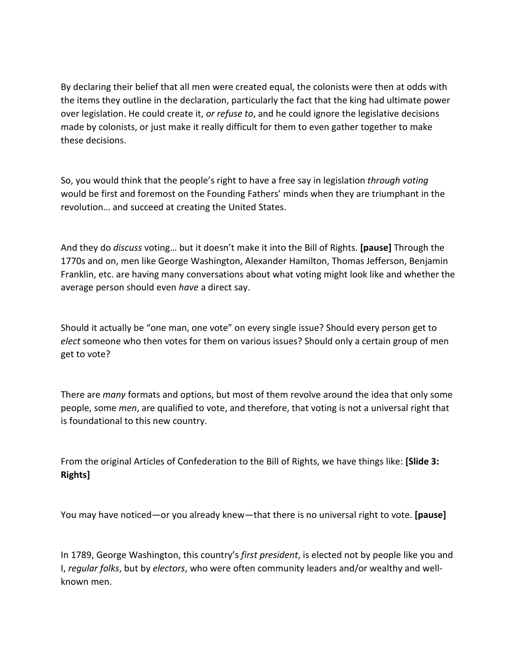By declaring their belief that all men were created equal, the colonists were then at odds with the items they outline in the declaration, particularly the fact that the king had ultimate power over legislation. He could create it, *or refuse to*, and he could ignore the legislative decisions made by colonists, or just make it really difficult for them to even gather together to make these decisions.

So, you would think that the people's right to have a free say in legislation *through voting* would be first and foremost on the Founding Fathers' minds when they are triumphant in the revolution… and succeed at creating the United States.

And they do *discuss* voting… but it doesn't make it into the Bill of Rights. **[pause]** Through the 1770s and on, men like George Washington, Alexander Hamilton, Thomas Jefferson, Benjamin Franklin, etc. are having many conversations about what voting might look like and whether the average person should even *have* a direct say.

Should it actually be "one man, one vote" on every single issue? Should every person get to *elect* someone who then votes for them on various issues? Should only a certain group of men get to vote?

There are *many* formats and options, but most of them revolve around the idea that only some people, some *men*, are qualified to vote, and therefore, that voting is not a universal right that is foundational to this new country.

From the original Articles of Confederation to the Bill of Rights, we have things like: **[Slide 3: Rights]**

You may have noticed—or you already knew—that there is no universal right to vote. **[pause]**

In 1789, George Washington, this country's *first president*, is elected not by people like you and I, *regular folks*, but by *electors*, who were often community leaders and/or wealthy and wellknown men.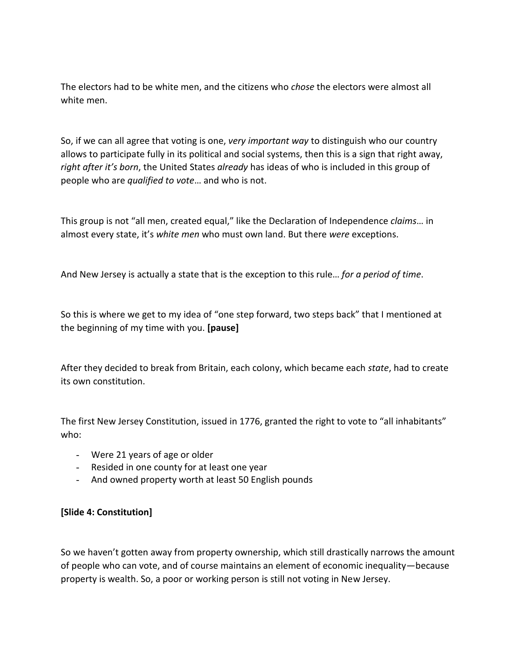The electors had to be white men, and the citizens who *chose* the electors were almost all white men.

So, if we can all agree that voting is one, *very important way* to distinguish who our country allows to participate fully in its political and social systems, then this is a sign that right away, *right after it's born*, the United States *already* has ideas of who is included in this group of people who are *qualified to vote*… and who is not.

This group is not "all men, created equal," like the Declaration of Independence *claims*… in almost every state, it's *white men* who must own land. But there *were* exceptions.

And New Jersey is actually a state that is the exception to this rule… *for a period of time*.

So this is where we get to my idea of "one step forward, two steps back" that I mentioned at the beginning of my time with you. **[pause]**

After they decided to break from Britain, each colony, which became each *state*, had to create its own constitution.

The first New Jersey Constitution, issued in 1776, granted the right to vote to "all inhabitants" who:

- Were 21 years of age or older
- Resided in one county for at least one year
- And owned property worth at least 50 English pounds

# **[Slide 4: Constitution]**

So we haven't gotten away from property ownership, which still drastically narrows the amount of people who can vote, and of course maintains an element of economic inequality—because property is wealth. So, a poor or working person is still not voting in New Jersey.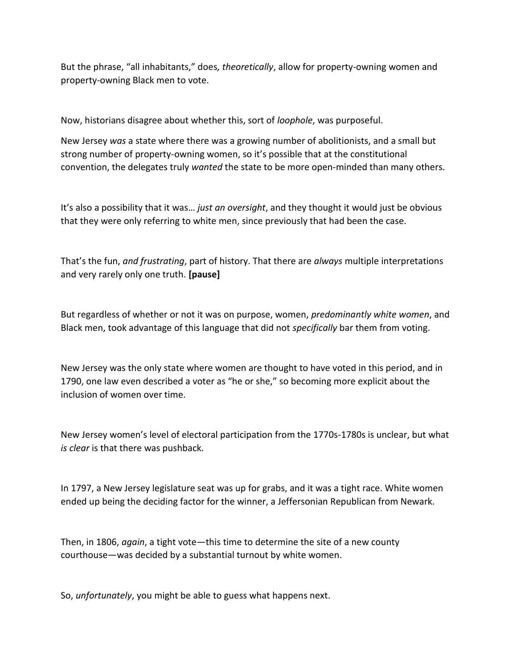But the phrase, "all inhabitants," does*, theoretically*, allow for property-owning women and property-owning Black men to vote.

Now, historians disagree about whether this, sort of *loophole*, was purposeful.

New Jersey *was* a state where there was a growing number of abolitionists, and a small but strong number of property-owning women, so it's possible that at the constitutional convention, the delegates truly *wanted* the state to be more open-minded than many others.

It's also a possibility that it was… *just an oversight*, and they thought it would just be obvious that they were only referring to white men, since previously that had been the case.

That's the fun, *and frustrating*, part of history. That there are *always* multiple interpretations and very rarely only one truth. **[pause]**

But regardless of whether or not it was on purpose, women, *predominantly white women*, and Black men, took advantage of this language that did not *specifically* bar them from voting.

New Jersey was the only state where women are thought to have voted in this period, and in 1790, one law even described a voter as "he or she," so becoming more explicit about the inclusion of women over time.

New Jersey women's level of electoral participation from the 1770s-1780s is unclear, but what *is clear* is that there was pushback.

In 1797, a New Jersey legislature seat was up for grabs, and it was a tight race. White women ended up being the deciding factor for the winner, a Jeffersonian Republican from Newark.

Then, in 1806, *again*, a tight vote—this time to determine the site of a new county courthouse—was decided by a substantial turnout by white women.

So, *unfortunately*, you might be able to guess what happens next.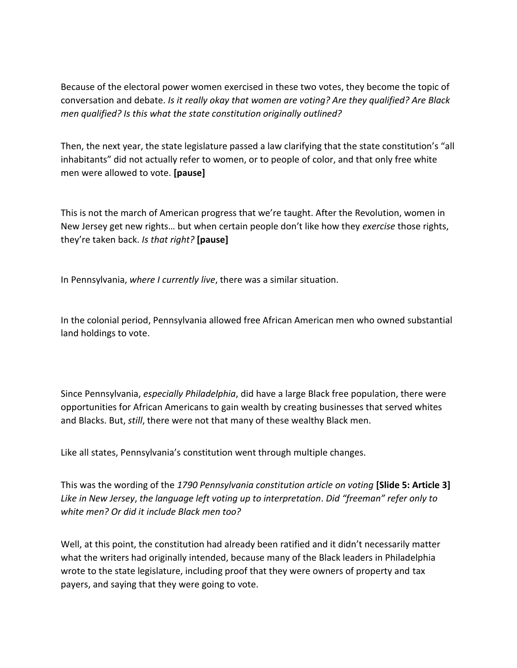Because of the electoral power women exercised in these two votes, they become the topic of conversation and debate. *Is it really okay that women are voting? Are they qualified? Are Black men qualified? Is this what the state constitution originally outlined?* 

Then, the next year, the state legislature passed a law clarifying that the state constitution's "all inhabitants" did not actually refer to women, or to people of color, and that only free white men were allowed to vote. **[pause]**

This is not the march of American progress that we're taught. After the Revolution, women in New Jersey get new rights… but when certain people don't like how they *exercise* those rights, they're taken back. *Is that right?* **[pause]**

In Pennsylvania, *where I currently live*, there was a similar situation.

In the colonial period, Pennsylvania allowed free African American men who owned substantial land holdings to vote.

Since Pennsylvania, *especially Philadelphia*, did have a large Black free population, there were opportunities for African Americans to gain wealth by creating businesses that served whites and Blacks. But, *still*, there were not that many of these wealthy Black men.

Like all states, Pennsylvania's constitution went through multiple changes.

This was the wording of the *1790 Pennsylvania constitution article on voting* **[Slide 5: Article 3]** *Like in New Jersey*, *the language left voting up to interpretation*. *Did "freeman" refer only to white men? Or did it include Black men too?*

Well, at this point, the constitution had already been ratified and it didn't necessarily matter what the writers had originally intended, because many of the Black leaders in Philadelphia wrote to the state legislature, including proof that they were owners of property and tax payers, and saying that they were going to vote.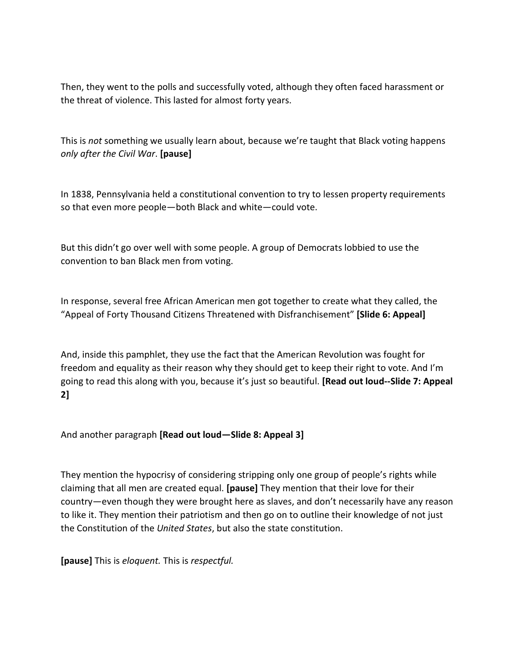Then, they went to the polls and successfully voted, although they often faced harassment or the threat of violence. This lasted for almost forty years.

This is *not* something we usually learn about, because we're taught that Black voting happens *only after the Civil War*. **[pause]**

In 1838, Pennsylvania held a constitutional convention to try to lessen property requirements so that even more people—both Black and white—could vote.

But this didn't go over well with some people. A group of Democrats lobbied to use the convention to ban Black men from voting.

In response, several free African American men got together to create what they called, the "Appeal of Forty Thousand Citizens Threatened with Disfranchisement" **[Slide 6: Appeal]**

And, inside this pamphlet, they use the fact that the American Revolution was fought for freedom and equality as their reason why they should get to keep their right to vote. And I'm going to read this along with you, because it's just so beautiful. **[Read out loud--Slide 7: Appeal 2]**

And another paragraph **[Read out loud—Slide 8: Appeal 3]**

They mention the hypocrisy of considering stripping only one group of people's rights while claiming that all men are created equal. **[pause]** They mention that their love for their country—even though they were brought here as slaves, and don't necessarily have any reason to like it. They mention their patriotism and then go on to outline their knowledge of not just the Constitution of the *United States*, but also the state constitution.

**[pause]** This is *eloquent.* This is *respectful.*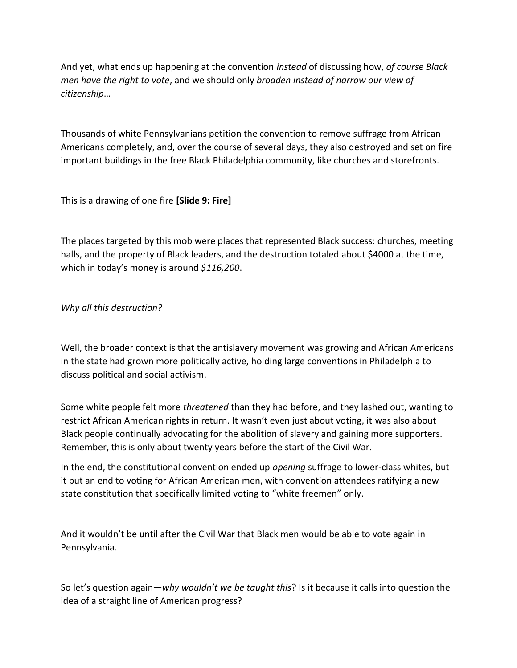And yet, what ends up happening at the convention *instead* of discussing how, *of course Black men have the right to vote*, and we should only *broaden instead of narrow our view of citizenship*…

Thousands of white Pennsylvanians petition the convention to remove suffrage from African Americans completely, and, over the course of several days, they also destroyed and set on fire important buildings in the free Black Philadelphia community, like churches and storefronts.

This is a drawing of one fire **[Slide 9: Fire]**

The places targeted by this mob were places that represented Black success: churches, meeting halls, and the property of Black leaders, and the destruction totaled about \$4000 at the time, which in today's money is around *\$116,200*.

### *Why all this destruction?*

Well, the broader context is that the antislavery movement was growing and African Americans in the state had grown more politically active, holding large conventions in Philadelphia to discuss political and social activism.

Some white people felt more *threatened* than they had before, and they lashed out, wanting to restrict African American rights in return. It wasn't even just about voting, it was also about Black people continually advocating for the abolition of slavery and gaining more supporters. Remember, this is only about twenty years before the start of the Civil War.

In the end, the constitutional convention ended up *opening* suffrage to lower-class whites, but it put an end to voting for African American men, with convention attendees ratifying a new state constitution that specifically limited voting to "white freemen" only.

And it wouldn't be until after the Civil War that Black men would be able to vote again in Pennsylvania.

So let's question again—*why wouldn't we be taught this*? Is it because it calls into question the idea of a straight line of American progress?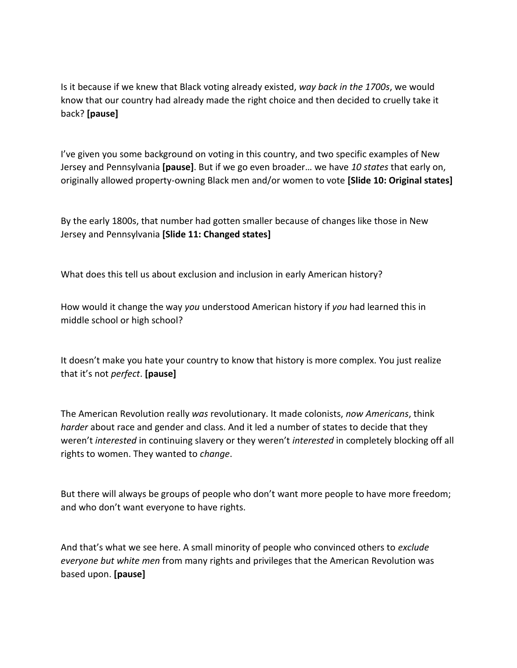Is it because if we knew that Black voting already existed, *way back in the 1700s*, we would know that our country had already made the right choice and then decided to cruelly take it back? **[pause]**

I've given you some background on voting in this country, and two specific examples of New Jersey and Pennsylvania **[pause]**. But if we go even broader… we have *10 states* that early on, originally allowed property-owning Black men and/or women to vote **[Slide 10: Original states]**

By the early 1800s, that number had gotten smaller because of changes like those in New Jersey and Pennsylvania **[Slide 11: Changed states]**

What does this tell us about exclusion and inclusion in early American history?

How would it change the way *you* understood American history if *you* had learned this in middle school or high school?

It doesn't make you hate your country to know that history is more complex. You just realize that it's not *perfect*. **[pause]**

The American Revolution really *was* revolutionary. It made colonists, *now Americans*, think *harder* about race and gender and class. And it led a number of states to decide that they weren't *interested* in continuing slavery or they weren't *interested* in completely blocking off all rights to women. They wanted to *change*.

But there will always be groups of people who don't want more people to have more freedom; and who don't want everyone to have rights.

And that's what we see here. A small minority of people who convinced others to *exclude everyone but white men* from many rights and privileges that the American Revolution was based upon. **[pause]**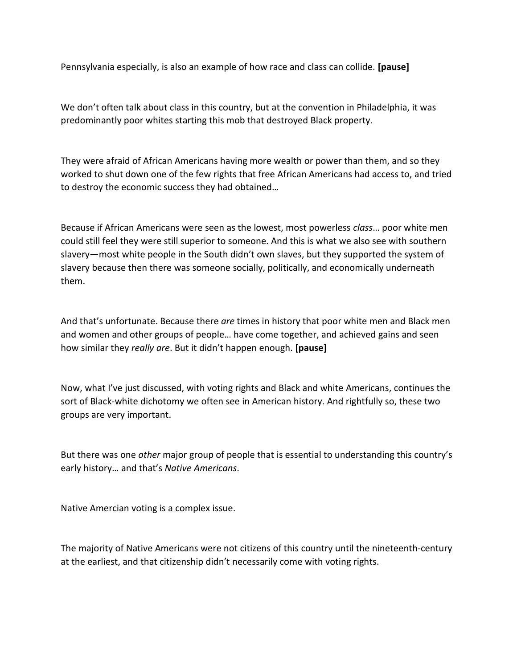Pennsylvania especially, is also an example of how race and class can collide. **[pause]**

We don't often talk about class in this country, but at the convention in Philadelphia, it was predominantly poor whites starting this mob that destroyed Black property.

They were afraid of African Americans having more wealth or power than them, and so they worked to shut down one of the few rights that free African Americans had access to, and tried to destroy the economic success they had obtained…

Because if African Americans were seen as the lowest, most powerless *class*… poor white men could still feel they were still superior to someone. And this is what we also see with southern slavery—most white people in the South didn't own slaves, but they supported the system of slavery because then there was someone socially, politically, and economically underneath them.

And that's unfortunate. Because there *are* times in history that poor white men and Black men and women and other groups of people… have come together, and achieved gains and seen how similar they *really are*. But it didn't happen enough. **[pause]**

Now, what I've just discussed, with voting rights and Black and white Americans, continues the sort of Black-white dichotomy we often see in American history. And rightfully so, these two groups are very important.

But there was one *other* major group of people that is essential to understanding this country's early history… and that's *Native Americans*.

Native Amercian voting is a complex issue.

The majority of Native Americans were not citizens of this country until the nineteenth-century at the earliest, and that citizenship didn't necessarily come with voting rights.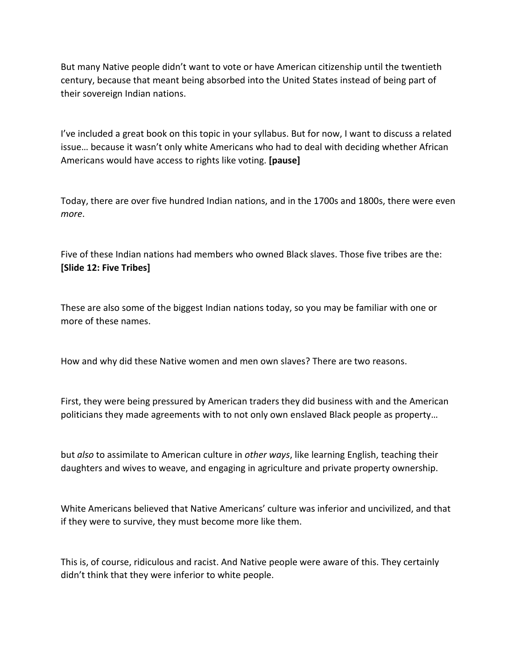But many Native people didn't want to vote or have American citizenship until the twentieth century, because that meant being absorbed into the United States instead of being part of their sovereign Indian nations.

I've included a great book on this topic in your syllabus. But for now, I want to discuss a related issue… because it wasn't only white Americans who had to deal with deciding whether African Americans would have access to rights like voting. **[pause]**

Today, there are over five hundred Indian nations, and in the 1700s and 1800s, there were even *more*.

Five of these Indian nations had members who owned Black slaves. Those five tribes are the: **[Slide 12: Five Tribes]**

These are also some of the biggest Indian nations today, so you may be familiar with one or more of these names.

How and why did these Native women and men own slaves? There are two reasons.

First, they were being pressured by American traders they did business with and the American politicians they made agreements with to not only own enslaved Black people as property…

but *also* to assimilate to American culture in *other ways*, like learning English, teaching their daughters and wives to weave, and engaging in agriculture and private property ownership.

White Americans believed that Native Americans' culture was inferior and uncivilized, and that if they were to survive, they must become more like them.

This is, of course, ridiculous and racist. And Native people were aware of this. They certainly didn't think that they were inferior to white people.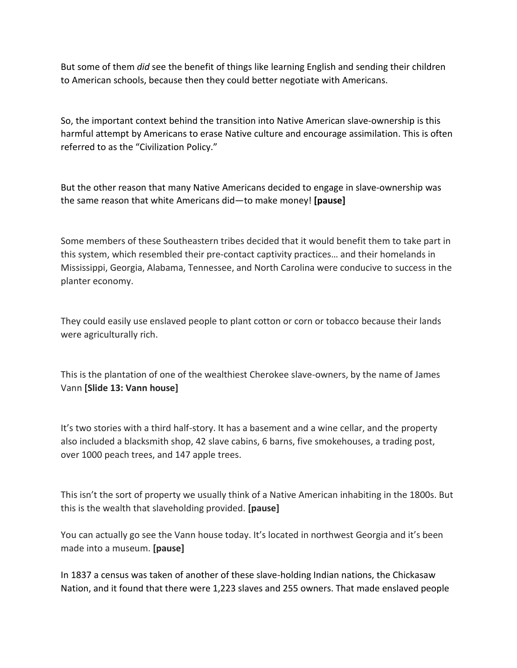But some of them *did* see the benefit of things like learning English and sending their children to American schools, because then they could better negotiate with Americans.

So, the important context behind the transition into Native American slave-ownership is this harmful attempt by Americans to erase Native culture and encourage assimilation. This is often referred to as the "Civilization Policy."

But the other reason that many Native Americans decided to engage in slave-ownership was the same reason that white Americans did—to make money! **[pause]**

Some members of these Southeastern tribes decided that it would benefit them to take part in this system, which resembled their pre-contact captivity practices… and their homelands in Mississippi, Georgia, Alabama, Tennessee, and North Carolina were conducive to success in the planter economy.

They could easily use enslaved people to plant cotton or corn or tobacco because their lands were agriculturally rich.

This is the plantation of one of the wealthiest Cherokee slave-owners, by the name of James Vann **[Slide 13: Vann house]**

It's two stories with a third half-story. It has a basement and a wine cellar, and the property also included a blacksmith shop, 42 slave cabins, 6 barns, five smokehouses, a trading post, over 1000 peach trees, and 147 apple trees.

This isn't the sort of property we usually think of a Native American inhabiting in the 1800s. But this is the wealth that slaveholding provided. **[pause]**

You can actually go see the Vann house today. It's located in northwest Georgia and it's been made into a museum. **[pause]**

In 1837 a census was taken of another of these slave-holding Indian nations, the Chickasaw Nation, and it found that there were 1,223 slaves and 255 owners. That made enslaved people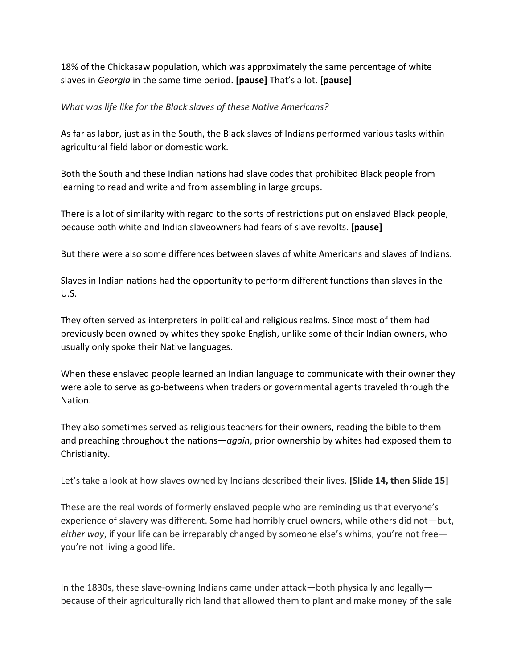18% of the Chickasaw population, which was approximately the same percentage of white slaves in *Georgia* in the same time period. **[pause]** That's a lot. **[pause]**

## *What was life like for the Black slaves of these Native Americans?*

As far as labor, just as in the South, the Black slaves of Indians performed various tasks within agricultural field labor or domestic work.

Both the South and these Indian nations had slave codes that prohibited Black people from learning to read and write and from assembling in large groups.

There is a lot of similarity with regard to the sorts of restrictions put on enslaved Black people, because both white and Indian slaveowners had fears of slave revolts. **[pause]**

But there were also some differences between slaves of white Americans and slaves of Indians.

Slaves in Indian nations had the opportunity to perform different functions than slaves in the U.S.

They often served as interpreters in political and religious realms. Since most of them had previously been owned by whites they spoke English, unlike some of their Indian owners, who usually only spoke their Native languages.

When these enslaved people learned an Indian language to communicate with their owner they were able to serve as go-betweens when traders or governmental agents traveled through the Nation.

They also sometimes served as religious teachers for their owners, reading the bible to them and preaching throughout the nations—*again*, prior ownership by whites had exposed them to Christianity.

Let's take a look at how slaves owned by Indians described their lives. **[Slide 14, then Slide 15]**

These are the real words of formerly enslaved people who are reminding us that everyone's experience of slavery was different. Some had horribly cruel owners, while others did not—but, *either way*, if your life can be irreparably changed by someone else's whims, you're not free you're not living a good life.

In the 1830s, these slave-owning Indians came under attack—both physically and legally because of their agriculturally rich land that allowed them to plant and make money of the sale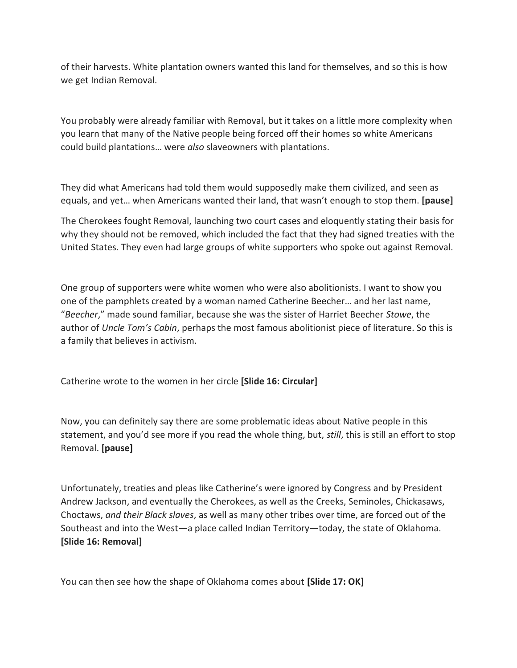of their harvests. White plantation owners wanted this land for themselves, and so this is how we get Indian Removal.

You probably were already familiar with Removal, but it takes on a little more complexity when you learn that many of the Native people being forced off their homes so white Americans could build plantations… were *also* slaveowners with plantations.

They did what Americans had told them would supposedly make them civilized, and seen as equals, and yet… when Americans wanted their land, that wasn't enough to stop them. **[pause]**

The Cherokees fought Removal, launching two court cases and eloquently stating their basis for why they should not be removed, which included the fact that they had signed treaties with the United States. They even had large groups of white supporters who spoke out against Removal.

One group of supporters were white women who were also abolitionists. I want to show you one of the pamphlets created by a woman named Catherine Beecher… and her last name, "*Beecher*," made sound familiar, because she was the sister of Harriet Beecher *Stowe*, the author of *Uncle Tom's Cabin*, perhaps the most famous abolitionist piece of literature. So this is a family that believes in activism.

Catherine wrote to the women in her circle **[Slide 16: Circular]**

Now, you can definitely say there are some problematic ideas about Native people in this statement, and you'd see more if you read the whole thing, but, *still*, this is still an effort to stop Removal. **[pause]**

Unfortunately, treaties and pleas like Catherine's were ignored by Congress and by President Andrew Jackson, and eventually the Cherokees, as well as the Creeks, Seminoles, Chickasaws, Choctaws, *and their Black slaves*, as well as many other tribes over time, are forced out of the Southeast and into the West—a place called Indian Territory—today, the state of Oklahoma. **[Slide 16: Removal]**

You can then see how the shape of Oklahoma comes about **[Slide 17: OK]**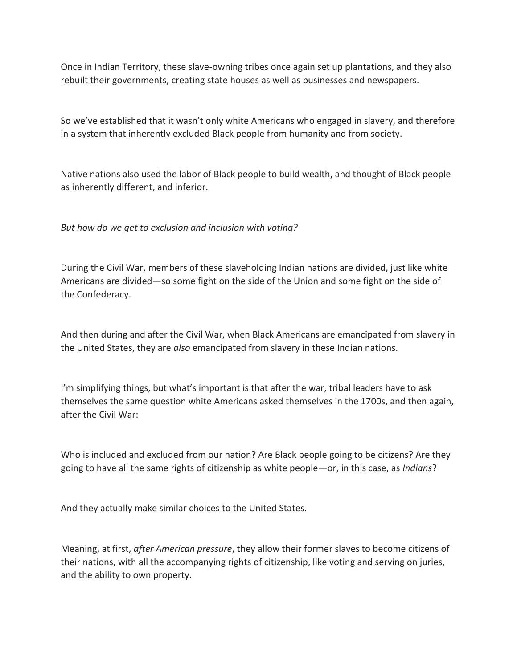Once in Indian Territory, these slave-owning tribes once again set up plantations, and they also rebuilt their governments, creating state houses as well as businesses and newspapers.

So we've established that it wasn't only white Americans who engaged in slavery, and therefore in a system that inherently excluded Black people from humanity and from society.

Native nations also used the labor of Black people to build wealth, and thought of Black people as inherently different, and inferior.

*But how do we get to exclusion and inclusion with voting?*

During the Civil War, members of these slaveholding Indian nations are divided, just like white Americans are divided—so some fight on the side of the Union and some fight on the side of the Confederacy.

And then during and after the Civil War, when Black Americans are emancipated from slavery in the United States, they are *also* emancipated from slavery in these Indian nations.

I'm simplifying things, but what's important is that after the war, tribal leaders have to ask themselves the same question white Americans asked themselves in the 1700s, and then again, after the Civil War:

Who is included and excluded from our nation? Are Black people going to be citizens? Are they going to have all the same rights of citizenship as white people—or, in this case, as *Indians*?

And they actually make similar choices to the United States.

Meaning, at first, *after American pressure*, they allow their former slaves to become citizens of their nations, with all the accompanying rights of citizenship, like voting and serving on juries, and the ability to own property.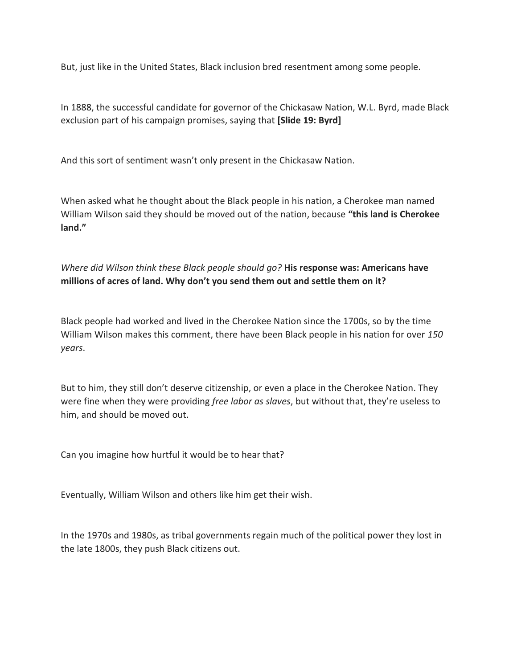But, just like in the United States, Black inclusion bred resentment among some people.

In 1888, the successful candidate for governor of the Chickasaw Nation, W.L. Byrd, made Black exclusion part of his campaign promises, saying that **[Slide 19: Byrd]**

And this sort of sentiment wasn't only present in the Chickasaw Nation.

When asked what he thought about the Black people in his nation, a Cherokee man named William Wilson said they should be moved out of the nation, because **"this land is Cherokee land."**

*Where did Wilson think these Black people should go?* **His response was: Americans have millions of acres of land. Why don't you send them out and settle them on it?**

Black people had worked and lived in the Cherokee Nation since the 1700s, so by the time William Wilson makes this comment, there have been Black people in his nation for over *150 years*.

But to him, they still don't deserve citizenship, or even a place in the Cherokee Nation. They were fine when they were providing *free labor as slaves*, but without that, they're useless to him, and should be moved out.

Can you imagine how hurtful it would be to hear that?

Eventually, William Wilson and others like him get their wish.

In the 1970s and 1980s, as tribal governments regain much of the political power they lost in the late 1800s, they push Black citizens out.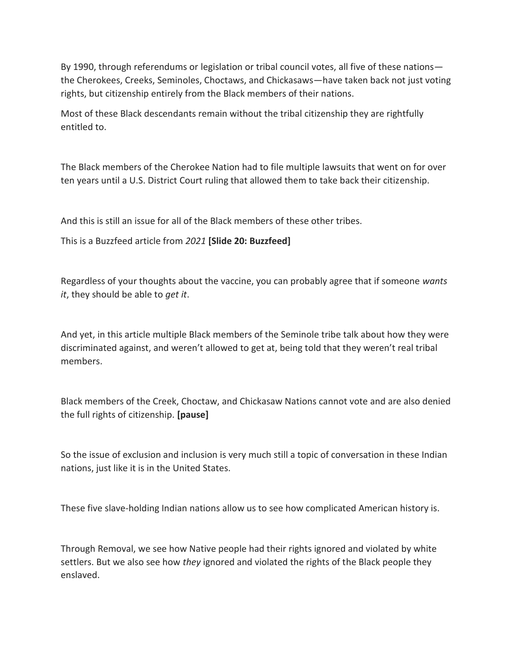By 1990, through referendums or legislation or tribal council votes, all five of these nations the Cherokees, Creeks, Seminoles, Choctaws, and Chickasaws—have taken back not just voting rights, but citizenship entirely from the Black members of their nations.

Most of these Black descendants remain without the tribal citizenship they are rightfully entitled to.

The Black members of the Cherokee Nation had to file multiple lawsuits that went on for over ten years until a U.S. District Court ruling that allowed them to take back their citizenship.

And this is still an issue for all of the Black members of these other tribes.

This is a Buzzfeed article from *2021* **[Slide 20: Buzzfeed]** 

Regardless of your thoughts about the vaccine, you can probably agree that if someone *wants it*, they should be able to *get it*.

And yet, in this article multiple Black members of the Seminole tribe talk about how they were discriminated against, and weren't allowed to get at, being told that they weren't real tribal members.

Black members of the Creek, Choctaw, and Chickasaw Nations cannot vote and are also denied the full rights of citizenship. **[pause]**

So the issue of exclusion and inclusion is very much still a topic of conversation in these Indian nations, just like it is in the United States.

These five slave-holding Indian nations allow us to see how complicated American history is.

Through Removal, we see how Native people had their rights ignored and violated by white settlers. But we also see how *they* ignored and violated the rights of the Black people they enslaved.